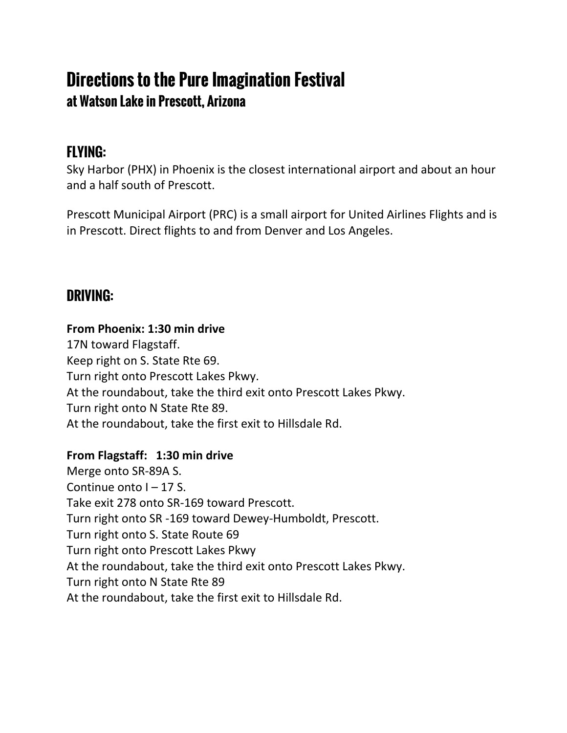# **Directions to the Pure Imagination Festival at Watson Lake in Prescott, Arizona**

# **FLYING:**

Sky Harbor (PHX) in Phoenix is the closest international airport and about an hour and a half south of Prescott.

Prescott Municipal Airport (PRC) is a small airport for United Airlines Flights and is in Prescott. Direct flights to and from Denver and Los Angeles.

# **DRIVING:**

# **From Phoenix: 1:30 min drive**

17N toward Flagstaff. Keep right on S. State Rte 69. Turn right onto Prescott Lakes Pkwy. At the roundabout, take the third exit onto Prescott Lakes Pkwy. Turn right onto N State Rte 89. At the roundabout, take the first exit to Hillsdale Rd.

# **From Flagstaff: 1:30 min drive**

Merge onto SR-89A S. Continue onto  $I - 17$  S. Take exit 278 onto SR-169 toward Prescott. Turn right onto SR -169 toward Dewey-Humboldt, Prescott. Turn right onto S. State Route 69 Turn right onto Prescott Lakes Pkwy At the roundabout, take the third exit onto Prescott Lakes Pkwy. Turn right onto N State Rte 89 At the roundabout, take the first exit to Hillsdale Rd.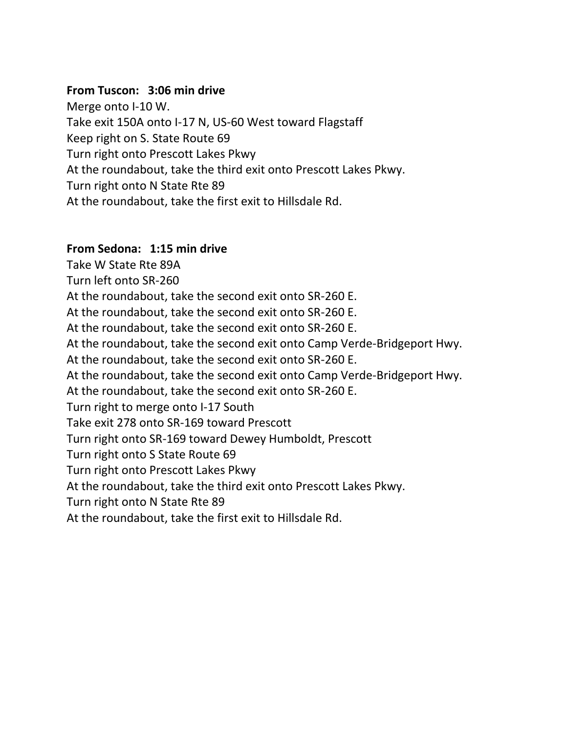#### **From Tuscon: 3:06 min drive**

Merge onto I-10 W. Take exit 150A onto I-17 N, US-60 West toward Flagstaff Keep right on S. State Route 69 Turn right onto Prescott Lakes Pkwy At the roundabout, take the third exit onto Prescott Lakes Pkwy. Turn right onto N State Rte 89 At the roundabout, take the first exit to Hillsdale Rd.

#### **From Sedona: 1:15 min drive**

Take W State Rte 89A Turn left onto SR-260 At the roundabout, take the second exit onto SR-260 E. At the roundabout, take the second exit onto SR-260 E. At the roundabout, take the second exit onto SR-260 E. At the roundabout, take the second exit onto Camp Verde-Bridgeport Hwy. At the roundabout, take the second exit onto SR-260 E. At the roundabout, take the second exit onto Camp Verde-Bridgeport Hwy. At the roundabout, take the second exit onto SR-260 E. Turn right to merge onto I-17 South Take exit 278 onto SR-169 toward Prescott Turn right onto SR-169 toward Dewey Humboldt, Prescott Turn right onto S State Route 69 Turn right onto Prescott Lakes Pkwy At the roundabout, take the third exit onto Prescott Lakes Pkwy. Turn right onto N State Rte 89 At the roundabout, take the first exit to Hillsdale Rd.